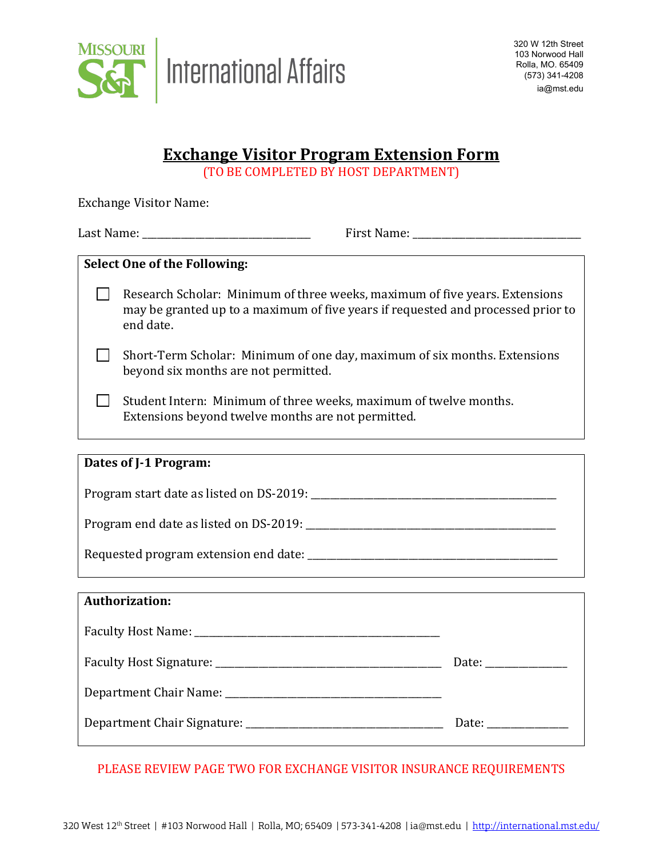

# **Exchange Visitor Program Extension Form**

(TO BE COMPLETED BY HOST DEPARTMENT)

| <b>Exchange Visitor Name:</b>            |                                                                                                                                                                              |  |
|------------------------------------------|------------------------------------------------------------------------------------------------------------------------------------------------------------------------------|--|
|                                          | Last Name: _______________________________                                                                                                                                   |  |
| <b>Select One of the Following:</b>      |                                                                                                                                                                              |  |
|                                          | Research Scholar: Minimum of three weeks, maximum of five years. Extensions<br>may be granted up to a maximum of five years if requested and processed prior to<br>end date. |  |
|                                          | Short-Term Scholar: Minimum of one day, maximum of six months. Extensions<br>beyond six months are not permitted.                                                            |  |
|                                          | Student Intern: Minimum of three weeks, maximum of twelve months.<br>Extensions beyond twelve months are not permitted.                                                      |  |
|                                          |                                                                                                                                                                              |  |
| Dates of J-1 Program:                    |                                                                                                                                                                              |  |
| Program start date as listed on DS-2019: |                                                                                                                                                                              |  |
|                                          |                                                                                                                                                                              |  |

Requested program extension end date: \_\_\_\_\_\_\_\_\_\_\_\_\_\_\_\_\_\_\_\_\_\_\_\_\_\_\_\_\_\_\_\_\_\_\_\_\_\_\_\_\_\_\_\_\_\_\_\_\_\_\_\_

| <b>Authorization:</b> |                                                          |  |
|-----------------------|----------------------------------------------------------|--|
|                       |                                                          |  |
|                       |                                                          |  |
|                       |                                                          |  |
|                       |                                                          |  |
|                       | Date:                                                    |  |
|                       |                                                          |  |
|                       |                                                          |  |
|                       |                                                          |  |
|                       | Date: $\frac{1}{\sqrt{1-\frac{1}{2}} \cdot \frac{1}{2}}$ |  |
|                       |                                                          |  |
|                       |                                                          |  |

## PLEASE REVIEW PAGE TWO FOR EXCHANGE VISITOR INSURANCE REQUIREMENTS